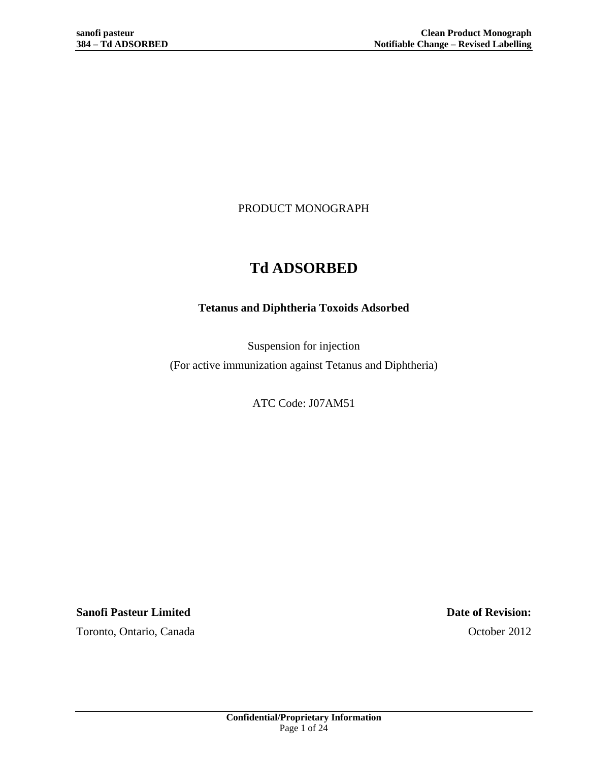PRODUCT MONOGRAPH

# **Td ADSORBED**

# **Tetanus and Diphtheria Toxoids Adsorbed**

Suspension for injection (For active immunization against Tetanus and Diphtheria)

ATC Code: J07AM51

**Sanofi Pasteur Limited Date of Revision:** Toronto, Ontario, Canada October 2012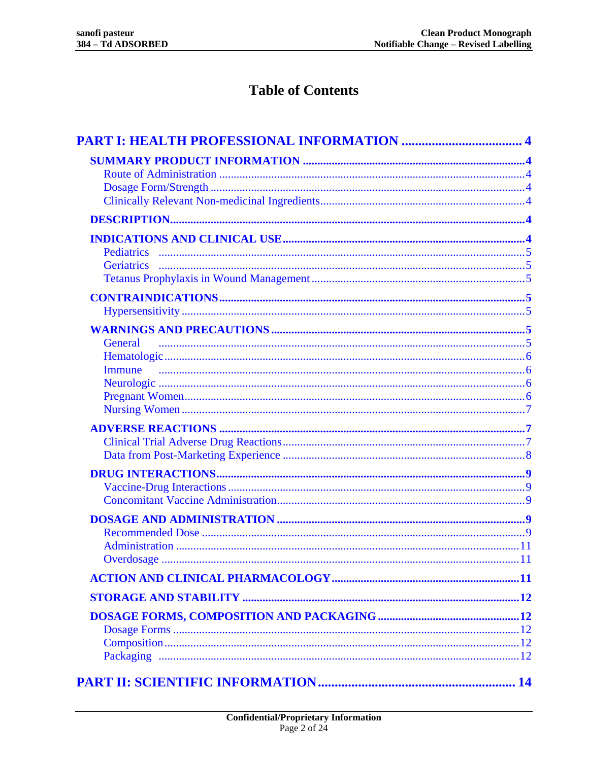# **Table of Contents**

| General |  |
|---------|--|
|         |  |
| Immune  |  |
|         |  |
|         |  |
|         |  |
|         |  |
|         |  |
|         |  |
|         |  |
|         |  |
|         |  |
|         |  |
|         |  |
|         |  |
|         |  |
|         |  |
|         |  |
|         |  |
|         |  |
|         |  |
|         |  |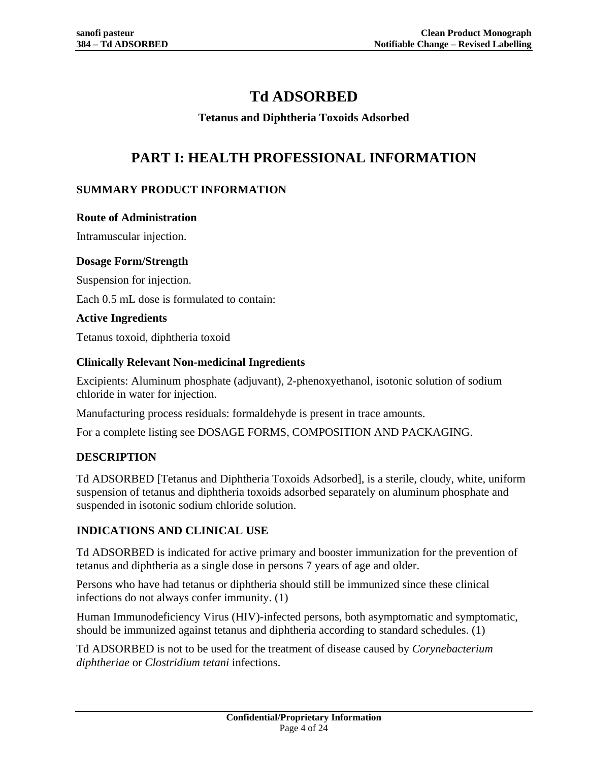# **Td ADSORBED**

# **Tetanus and Diphtheria Toxoids Adsorbed**

# **PART I: HEALTH PROFESSIONAL INFORMATION**

# <span id="page-3-0"></span>**SUMMARY PRODUCT INFORMATION**

### **Route of Administration**

Intramuscular injection.

## **Dosage Form/Strength**

Suspension for injection.

Each 0.5 mL dose is formulated to contain:

## **Active Ingredients**

Tetanus toxoid, diphtheria toxoid

# **Clinically Relevant Non-medicinal Ingredients**

Excipients: Aluminum phosphate (adjuvant), 2-phenoxyethanol, isotonic solution of sodium chloride in water for injection.

Manufacturing process residuals: formaldehyde is present in trace amounts.

<span id="page-3-1"></span>For a complete listing see [DOSAGE FORMS, COMPOSITION AND PACKAGING.](#page-11-0)

# **DESCRIPTION**

Td ADSORBED [Tetanus and Diphtheria Toxoids Adsorbed], is a sterile, cloudy, white, uniform suspension of tetanus and diphtheria toxoids adsorbed separately on aluminum phosphate and suspended in isotonic sodium chloride solution.

# **INDICATIONS AND CLINICAL USE**

Td ADSORBED is indicated for active primary and booster immunization for the prevention of tetanus and diphtheria as a single dose in persons 7 years of age and older.

Persons who have had tetanus or diphtheria should still be immunized since these clinical infections do not always confer immunity. [\(1\)](#page-20-0)

Human Immunodeficiency Virus (HIV)-infected persons, both asymptomatic and symptomatic, should be immunized against tetanus and diphtheria according to standard schedules. [\(1\)](#page-20-0)

Td ADSORBED is not to be used for the treatment of disease caused by *Corynebacterium diphtheriae* or *Clostridium tetani* infections.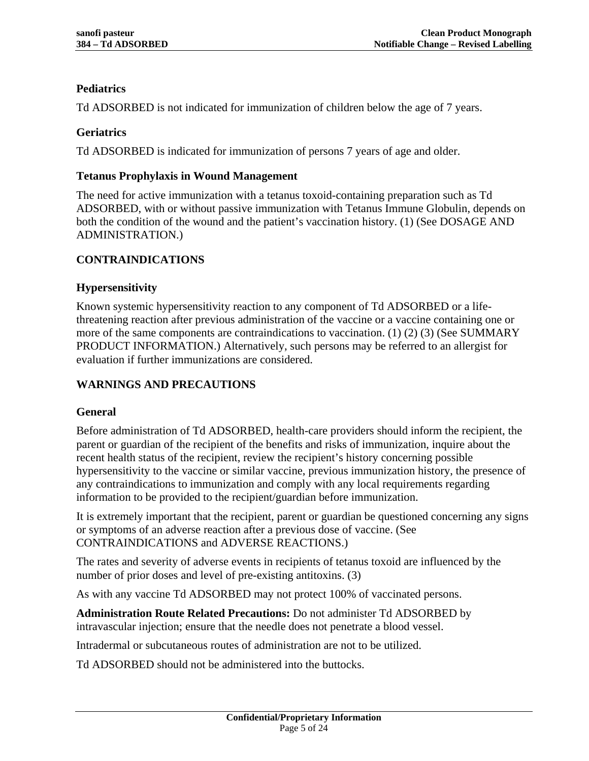# **Pediatrics**

Td ADSORBED is not indicated for immunization of children below the age of 7 years.

# **Geriatrics**

Td ADSORBED is indicated for immunization of persons 7 years of age and older.

## **Tetanus Prophylaxis in Wound Management**

The need for active immunization with a tetanus toxoid-containing preparation such as Td ADSORBED, with or without passive immunization with Tetanus Immune Globulin, depends on both the condition of the wound and the patient's vaccination history. [\(1\)](#page-20-0) (See [DOSAGE AND](#page-8-0)  [ADMINISTRATION.](#page-8-0))

# <span id="page-4-0"></span>**CONTRAINDICATIONS**

## **Hypersensitivity**

Known systemic hypersensitivity reaction to any component of Td ADSORBED or a lifethreatening reaction after previous administration of the vaccine or a vaccine containing one or more of the same components are contraindications to vaccination. [\(1\)](#page-20-0) [\(2\)](#page-20-1) [\(3\)](#page-20-2) (See [SUMMARY](#page-3-0)  [PRODUCT INFORMATION.](#page-3-0)) Alternatively, such persons may be referred to an allergist for evaluation if further immunizations are considered.

# <span id="page-4-1"></span>**WARNINGS AND PRECAUTIONS**

# **General**

Before administration of Td ADSORBED, health-care providers should inform the recipient, the parent or guardian of the recipient of the benefits and risks of immunization, inquire about the recent health status of the recipient, review the recipient's history concerning possible hypersensitivity to the vaccine or similar vaccine, previous immunization history, the presence of any contraindications to immunization and comply with any local requirements regarding information to be provided to the recipient/guardian before immunization.

It is extremely important that the recipient, parent or guardian be questioned concerning any signs or symptoms of an adverse reaction after a previous dose of vaccine. (See [CONTRAINDICATIONS](#page-4-0) and [ADVERSE REACTIONS.](#page-6-0))

The rates and severity of adverse events in recipients of tetanus toxoid are influenced by the number of prior doses and level of pre-existing antitoxins. [\(3\)](#page-20-2)

As with any vaccine Td ADSORBED may not protect 100% of vaccinated persons.

**Administration Route Related Precautions:** Do not administer Td ADSORBED by intravascular injection; ensure that the needle does not penetrate a blood vessel.

Intradermal or subcutaneous routes of administration are not to be utilized.

Td ADSORBED should not be administered into the buttocks.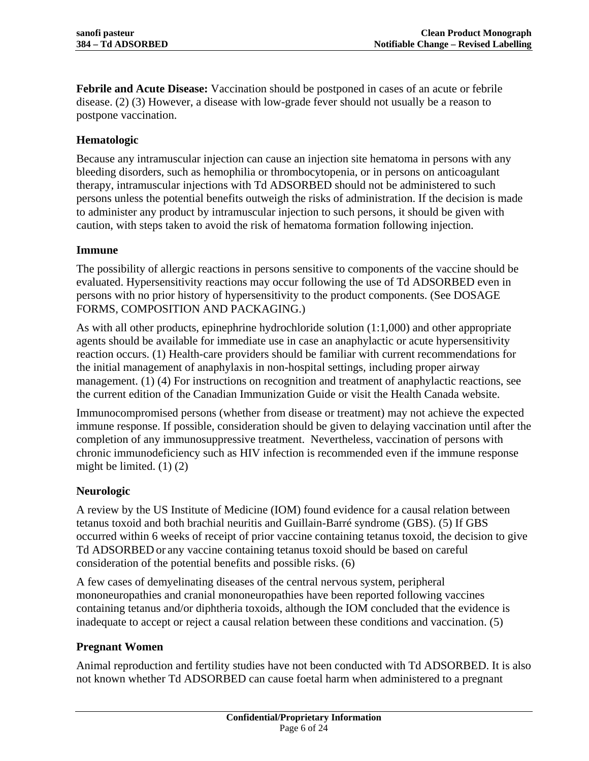**Febrile and Acute Disease:** Vaccination should be postponed in cases of an acute or febrile disease. [\(2\)](#page-20-1) [\(3\)](#page-20-2) However, a disease with low-grade fever should not usually be a reason to postpone vaccination.

# **Hematologic**

Because any intramuscular injection can cause an injection site hematoma in persons with any bleeding disorders, such as hemophilia or thrombocytopenia, or in persons on anticoagulant therapy, intramuscular injections with Td ADSORBED should not be administered to such persons unless the potential benefits outweigh the risks of administration. If the decision is made to administer any product by intramuscular injection to such persons, it should be given with caution, with steps taken to avoid the risk of hematoma formation following injection.

## **Immune**

The possibility of allergic reactions in persons sensitive to components of the vaccine should be evaluated. Hypersensitivity reactions may occur following the use of Td ADSORBED even in persons with no prior history of hypersensitivity to the product components. (See [DOSAGE](#page-11-0)  [FORMS, COMPOSITION AND PACKAGING.](#page-11-0))

As with all other products, epinephrine hydrochloride solution (1:1,000) and other appropriate agents should be available for immediate use in case an anaphylactic or acute hypersensitivity reaction occurs. [\(1\)](#page-20-0) Health-care providers should be familiar with current recommendations for the initial management of anaphylaxis in non-hospital settings, including proper airway management. [\(1\)](#page-20-0) [\(4\)](#page-20-3) For instructions on recognition and treatment of anaphylactic reactions, see the current edition of the Canadian Immunization Guide or visit the Health Canada website.

Immunocompromised persons (whether from disease or treatment) may not achieve the expected immune response. If possible, consideration should be given to delaying vaccination until after the completion of any immunosuppressive treatment. Nevertheless, vaccination of persons with chronic immunodeficiency such as HIV infection is recommended even if the immune response might be limited.  $(1)$   $(2)$ 

# **Neurologic**

A review by the US Institute of Medicine (IOM) found evidence for a causal relation between tetanus toxoid and both brachial neuritis and Guillain-Barré syndrome (GBS). [\(5\)](#page-20-4) If GBS occurred within 6 weeks of receipt of prior vaccine containing tetanus toxoid, the decision to give Td ADSORBED or any vaccine containing tetanus toxoid should be based on careful consideration of the potential benefits and possible risks. [\(6\)](#page-20-5)

A few cases of demyelinating diseases of the central nervous system, peripheral mononeuropathies and cranial mononeuropathies have been reported following vaccines containing tetanus and/or diphtheria toxoids, although the IOM concluded that the evidence is inadequate to accept or reject a causal relation between these conditions and vaccination. [\(5\)](#page-20-4)

# **Pregnant Women**

Animal reproduction and fertility studies have not been conducted with Td ADSORBED. It is also not known whether Td ADSORBED can cause foetal harm when administered to a pregnant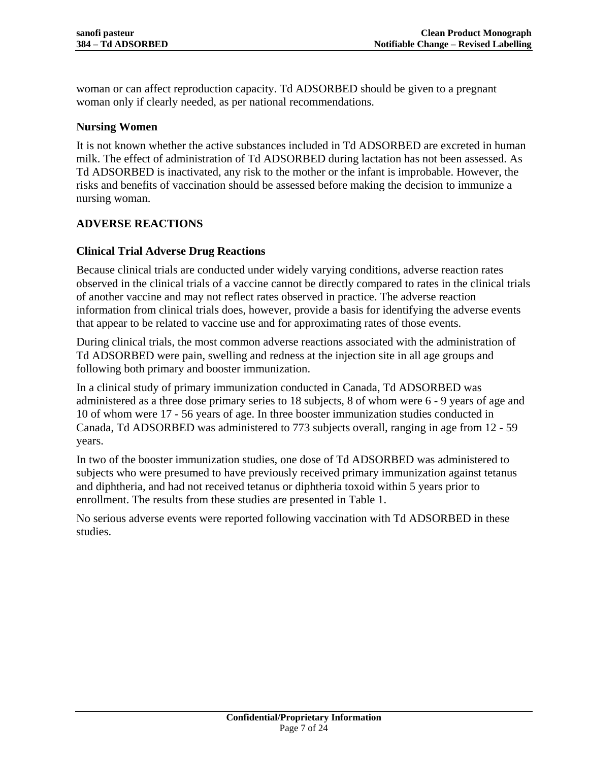woman or can affect reproduction capacity. Td ADSORBED should be given to a pregnant woman only if clearly needed, as per national recommendations.

## **Nursing Women**

It is not known whether the active substances included in Td ADSORBED are excreted in human milk. The effect of administration of Td ADSORBED during lactation has not been assessed. As Td ADSORBED is inactivated, any risk to the mother or the infant is improbable. However, the risks and benefits of vaccination should be assessed before making the decision to immunize a nursing woman.

# <span id="page-6-0"></span>**ADVERSE REACTIONS**

## **Clinical Trial Adverse Drug Reactions**

Because clinical trials are conducted under widely varying conditions, adverse reaction rates observed in the clinical trials of a vaccine cannot be directly compared to rates in the clinical trials of another vaccine and may not reflect rates observed in practice. The adverse reaction information from clinical trials does, however, provide a basis for identifying the adverse events that appear to be related to vaccine use and for approximating rates of those events.

During clinical trials, the most common adverse reactions associated with the administration of Td ADSORBED were pain, swelling and redness at the injection site in all age groups and following both primary and booster immunization.

In a clinical study of primary immunization conducted in Canada, Td ADSORBED was administered as a three dose primary series to 18 subjects, 8 of whom were 6 - 9 years of age and 10 of whom were 17 - 56 years of age. In three booster immunization studies conducted in Canada, Td ADSORBED was administered to 773 subjects overall, ranging in age from 12 - 59 years.

In two of the booster immunization studies, one dose of Td ADSORBED was administered to subjects who were presumed to have previously received primary immunization against tetanus and diphtheria, and had not received tetanus or diphtheria toxoid within 5 years prior to enrollment. The results from these studies are presented in Table 1.

No serious adverse events were reported following vaccination with Td ADSORBED in these studies.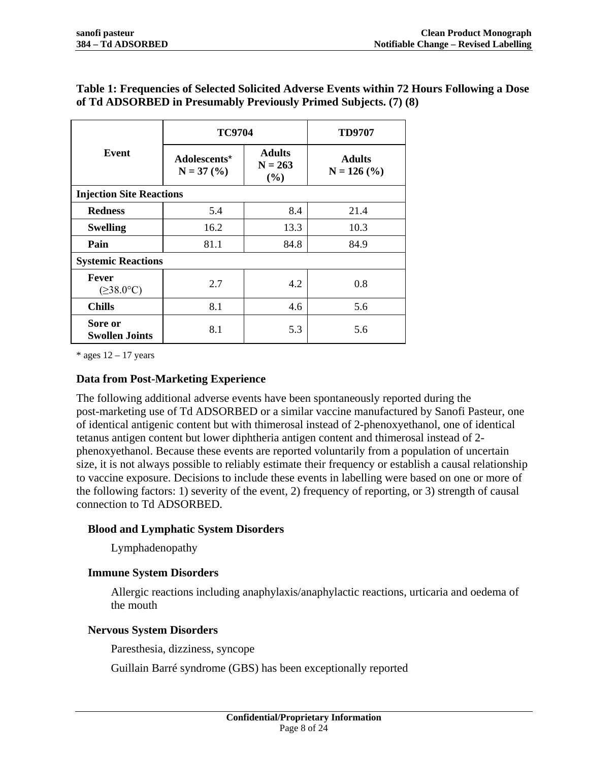|                                        | <b>TC9704</b>                                                     | <b>TD9707</b> |                                |
|----------------------------------------|-------------------------------------------------------------------|---------------|--------------------------------|
| <b>Event</b>                           | <b>Adults</b><br>Adolescents*<br>$N = 263$<br>$N = 37 (%)$<br>(%) |               | <b>Adults</b><br>$N = 126$ (%) |
| <b>Injection Site Reactions</b>        |                                                                   |               |                                |
| <b>Redness</b>                         | 5.4                                                               | 8.4           | 21.4                           |
| <b>Swelling</b>                        | 16.2                                                              | 13.3          | 10.3                           |
| Pain                                   | 81.1                                                              | 84.8          | 84.9                           |
| <b>Systemic Reactions</b>              |                                                                   |               |                                |
| <b>Fever</b><br>$(\geq 38.0^{\circ}C)$ | 2.7                                                               | 4.2           | 0.8                            |
| <b>Chills</b>                          | 8.1                                                               | 4.6           | 5.6                            |
| Sore or<br><b>Swollen Joints</b>       | 8.1                                                               | 5.3           | 5.6                            |

# **Table 1: Frequencies of Selected Solicited Adverse Events within 72 Hours Following a Dose of Td ADSORBED in Presumably Previously Primed Subjects. [\(7\)](#page-20-6) [\(8\)](#page-20-7)**

 $*$  ages  $12 - 17$  years

### **Data from Post-Marketing Experience**

The following additional adverse events have been spontaneously reported during the post-marketing use of Td ADSORBED or a similar vaccine manufactured by Sanofi Pasteur, one of identical antigenic content but with thimerosal instead of 2-phenoxyethanol, one of identical tetanus antigen content but lower diphtheria antigen content and thimerosal instead of 2 phenoxyethanol. Because these events are reported voluntarily from a population of uncertain size, it is not always possible to reliably estimate their frequency or establish a causal relationship to vaccine exposure. Decisions to include these events in labelling were based on one or more of the following factors: 1) severity of the event, 2) frequency of reporting, or 3) strength of causal connection to Td ADSORBED.

### **Blood and Lymphatic System Disorders**

Lymphadenopathy

### **Immune System Disorders**

Allergic reactions including anaphylaxis/anaphylactic reactions, urticaria and oedema of the mouth

### **Nervous System Disorders**

Paresthesia, dizziness, syncope

Guillain Barré syndrome (GBS) has been exceptionally reported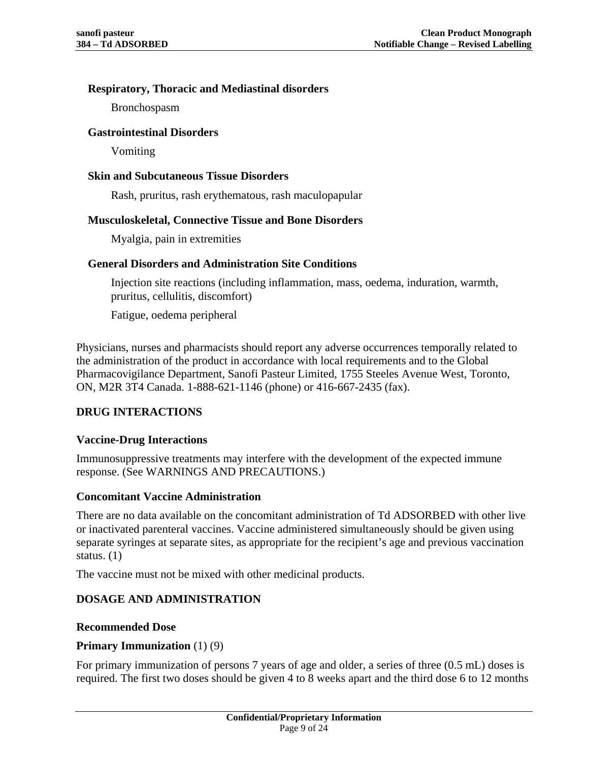## **Respiratory, Thoracic and Mediastinal disorders**

Bronchospasm

### **Gastrointestinal Disorders**

Vomiting

### **Skin and Subcutaneous Tissue Disorders**

Rash, pruritus, rash erythematous, rash maculopapular

## **Musculoskeletal, Connective Tissue and Bone Disorders**

Myalgia, pain in extremities

## **General Disorders and Administration Site Conditions**

Injection site reactions (including inflammation, mass, oedema, induration, warmth, pruritus, cellulitis, discomfort)

Fatigue, oedema peripheral

Physicians, nurses and pharmacists should report any adverse occurrences temporally related to the administration of the product in accordance with local requirements and to the Global Pharmacovigilance Department, Sanofi Pasteur Limited, 1755 Steeles Avenue West, Toronto, ON, M2R 3T4 Canada. 1-888-621-1146 (phone) or 416-667-2435 (fax).

# **DRUG INTERACTIONS**

# **Vaccine-Drug Interactions**

Immunosuppressive treatments may interfere with the development of the expected immune response. (See [WARNINGS AND PRECAUTIONS.](#page-4-1))

### **Concomitant Vaccine Administration**

There are no data available on the concomitant administration of Td ADSORBED with other live or inactivated parenteral vaccines. Vaccine administered simultaneously should be given using separate syringes at separate sites, as appropriate for the recipient's age and previous vaccination status. [\(1\)](#page-20-0)

The vaccine must not be mixed with other medicinal products.

# <span id="page-8-0"></span>**DOSAGE AND ADMINISTRATION**

### **Recommended Dose**

### **Primary Immunization** [\(1\)](#page-20-0) [\(9\)](#page-20-8)

For primary immunization of persons 7 years of age and older, a series of three (0.5 mL) doses is required. The first two doses should be given 4 to 8 weeks apart and the third dose 6 to 12 months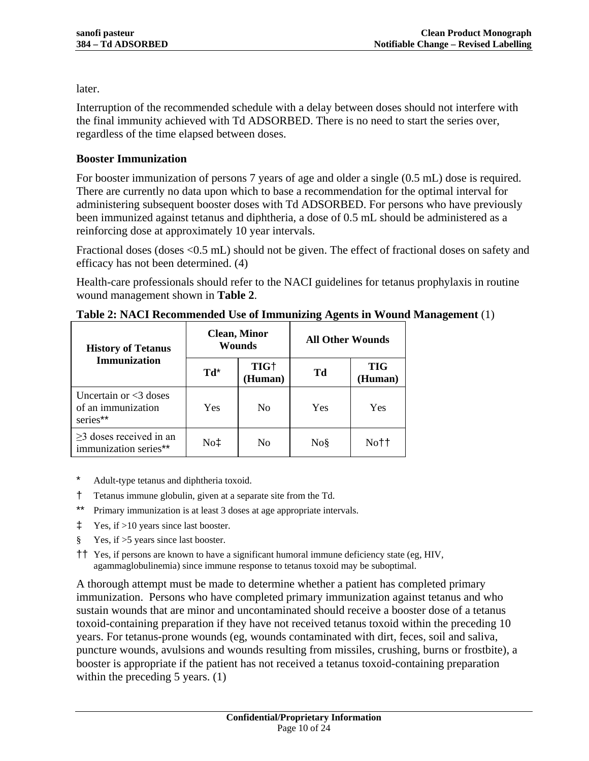later.

Interruption of the recommended schedule with a delay between doses should not interfere with the final immunity achieved with Td ADSORBED. There is no need to start the series over, regardless of the time elapsed between doses.

# **Booster Immunization**

For booster immunization of persons 7 years of age and older a single (0.5 mL) dose is required. There are currently no data upon which to base a recommendation for the optimal interval for administering subsequent booster doses with Td ADSORBED. For persons who have previously been immunized against tetanus and diphtheria, a dose of 0.5 mL should be administered as a reinforcing dose at approximately 10 year intervals.

Fractional doses (doses <0.5 mL) should not be given. The effect of fractional doses on safety and efficacy has not been determined. [\(4\)](#page-20-3)

Health-care professionals should refer to the NACI guidelines for tetanus prophylaxis in routine wound management shown in **Table 2**.

| <b>History of Tetanus</b>                                  |     | <b>Clean, Minor</b><br><b>Wounds</b> | <b>All Other Wounds</b> |                       |  |
|------------------------------------------------------------|-----|--------------------------------------|-------------------------|-----------------------|--|
| <b>Immunization</b>                                        | Td* | TIG <sup>+</sup><br>(Human)          | Td                      | <b>TIG</b><br>(Human) |  |
| Uncertain or $<$ 3 doses<br>of an immunization<br>series** | Yes | N <sub>0</sub>                       | Yes                     | Yes                   |  |
| $\geq$ 3 doses received in an<br>immunization series**     | No‡ | No                                   | No§                     | No††                  |  |

**Table 2: NACI Recommended Use of Immunizing Agents in Wound Management** [\(1\)](#page-20-0)

- Adult-type tetanus and diphtheria toxoid.
- † Tetanus immune globulin, given at a separate site from the Td.
- \*\* Primary immunization is at least 3 doses at age appropriate intervals.
- ‡ Yes, if >10 years since last booster.
- § Yes, if >5 years since last booster.
- †† Yes, if persons are known to have a significant humoral immune deficiency state (eg, HIV, agammaglobulinemia) since immune response to tetanus toxoid may be suboptimal.

A thorough attempt must be made to determine whether a patient has completed primary immunization. Persons who have completed primary immunization against tetanus and who sustain wounds that are minor and uncontaminated should receive a booster dose of a tetanus toxoid-containing preparation if they have not received tetanus toxoid within the preceding 10 years. For tetanus-prone wounds (eg, wounds contaminated with dirt, feces, soil and saliva, puncture wounds, avulsions and wounds resulting from missiles, crushing, burns or frostbite), a booster is appropriate if the patient has not received a tetanus toxoid-containing preparation within the preceding 5 years. [\(1\)](#page-20-0)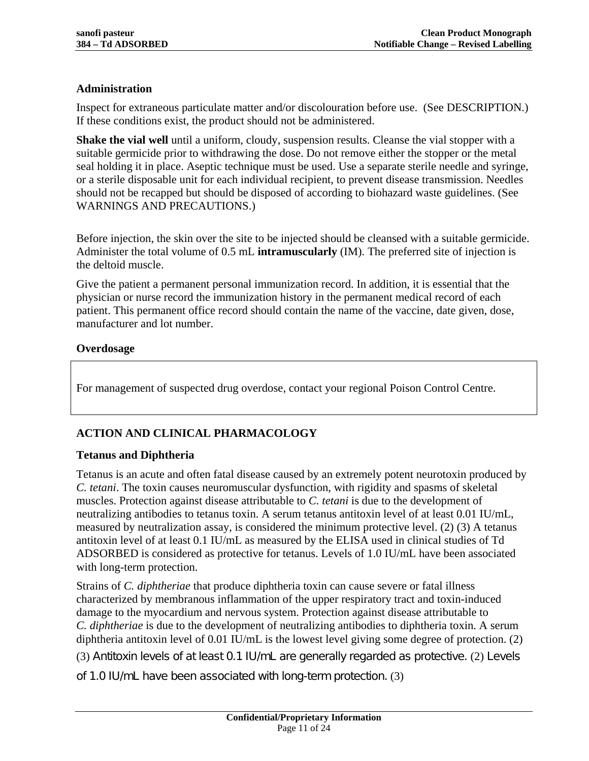# **Administration**

Inspect for extraneous particulate matter and/or discolouration before use. (See [DESCRIPTION.](#page-3-1)) If these conditions exist, the product should not be administered.

**Shake the vial well** until a uniform, cloudy, suspension results. Cleanse the vial stopper with a suitable germicide prior to withdrawing the dose. Do not remove either the stopper or the metal seal holding it in place. Aseptic technique must be used. Use a separate sterile needle and syringe, or a sterile disposable unit for each individual recipient, to prevent disease transmission. Needles should not be recapped but should be disposed of according to biohazard waste guidelines. (See [WARNINGS AND PRECAUTIONS.](#page-4-1))

Before injection, the skin over the site to be injected should be cleansed with a suitable germicide. Administer the total volume of 0.5 mL **intramuscularly** (IM). The preferred site of injection is the deltoid muscle.

Give the patient a permanent personal immunization record. In addition, it is essential that the physician or nurse record the immunization history in the permanent medical record of each patient. This permanent office record should contain the name of the vaccine, date given, dose, manufacturer and lot number.

## **Overdosage**

For management of suspected drug overdose, contact your regional Poison Control Centre.

# **ACTION AND CLINICAL PHARMACOLOGY**

### **Tetanus and Diphtheria**

Tetanus is an acute and often fatal disease caused by an extremely potent neurotoxin produced by *C. tetani*. The toxin causes neuromuscular dysfunction, with rigidity and spasms of skeletal muscles. Protection against disease attributable to *C. tetani* is due to the development of neutralizing antibodies to tetanus toxin. A serum tetanus antitoxin level of at least 0.01 IU/mL, measured by neutralization assay, is considered the minimum protective level. [\(2\)](#page-20-1) [\(3\)](#page-20-2) A tetanus antitoxin level of at least 0.1 IU/mL as measured by the ELISA used in clinical studies of Td ADSORBED is considered as protective for tetanus. Levels of 1.0 IU/mL have been associated with long-term protection.

Strains of *C. diphtheriae* that produce diphtheria toxin can cause severe or fatal illness characterized by membranous inflammation of the upper respiratory tract and toxin-induced damage to the myocardium and nervous system. Protection against disease attributable to *C. diphtheriae* is due to the development of neutralizing antibodies to diphtheria toxin. A serum diphtheria antitoxin level of 0.01 IU/mL is the lowest level giving some degree of protection. [\(2\)](#page-20-1) [\(3\)](#page-20-2) Antitoxin levels of at least 0.1 IU/mL are generally regarded as protective. [\(2\)](#page-20-1) Levels

of 1.0 IU/mL have been associated with long-term protection. [\(3\)](#page-20-2)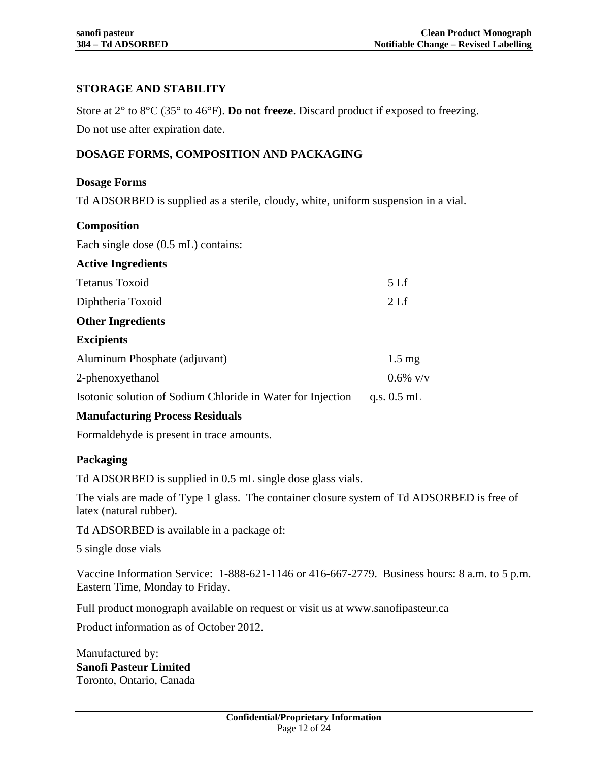# **STORAGE AND STABILITY**

Store at 2° to 8°C (35° to 46°F). **Do not freeze**. Discard product if exposed to freezing. Do not use after expiration date.

# <span id="page-11-0"></span>**DOSAGE FORMS, COMPOSITION AND PACKAGING**

### **Dosage Forms**

Td ADSORBED is supplied as a sterile, cloudy, white, uniform suspension in a vial.

| <b>Composition</b>                                          |                  |
|-------------------------------------------------------------|------------------|
| Each single dose $(0.5 \text{ mL})$ contains:               |                  |
| <b>Active Ingredients</b>                                   |                  |
| <b>Tetanus Toxoid</b>                                       | 5 <sub>Lf</sub>  |
| Diphtheria Toxoid                                           | 2 <sub>Lf</sub>  |
| <b>Other Ingredients</b>                                    |                  |
| <b>Excipients</b>                                           |                  |
| Aluminum Phosphate (adjuvant)                               | $1.5 \text{ mg}$ |
| 2-phenoxyethanol                                            | $0.6\%$ v/v      |
| Isotonic solution of Sodium Chloride in Water for Injection | q.s. $0.5$ mL    |

# **Manufacturing Process Residuals**

Formaldehyde is present in trace amounts.

### **Packaging**

Td ADSORBED is supplied in 0.5 mL single dose glass vials.

The vials are made of Type 1 glass. The container closure system of Td ADSORBED is free of latex (natural rubber).

Td ADSORBED is available in a package of:

5 single dose vials

Vaccine Information Service: 1-888-621-1146 or 416-667-2779. Business hours: 8 a.m. to 5 p.m. Eastern Time, Monday to Friday.

Full product monograph available on request or visit us at www.sanofipasteur.ca

Product information as of October 2012.

Manufactured by: **Sanofi Pasteur Limited** Toronto, Ontario, Canada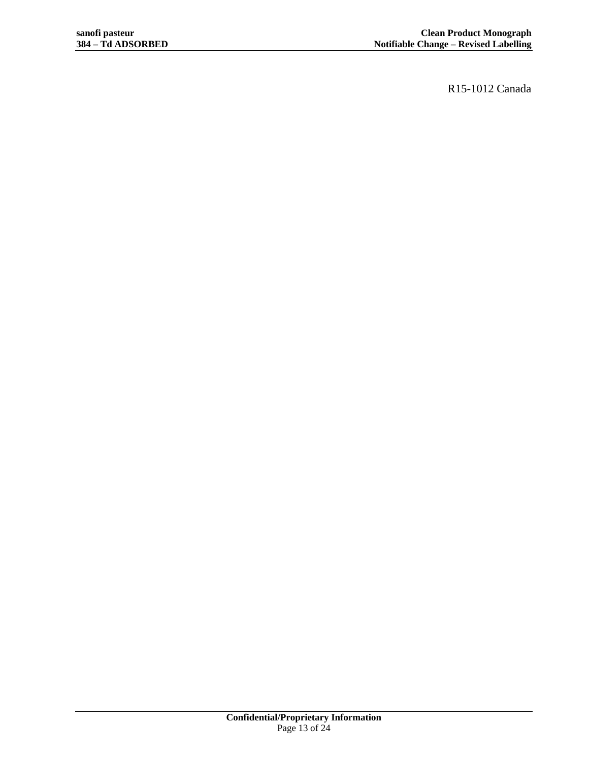R15-1012 Canada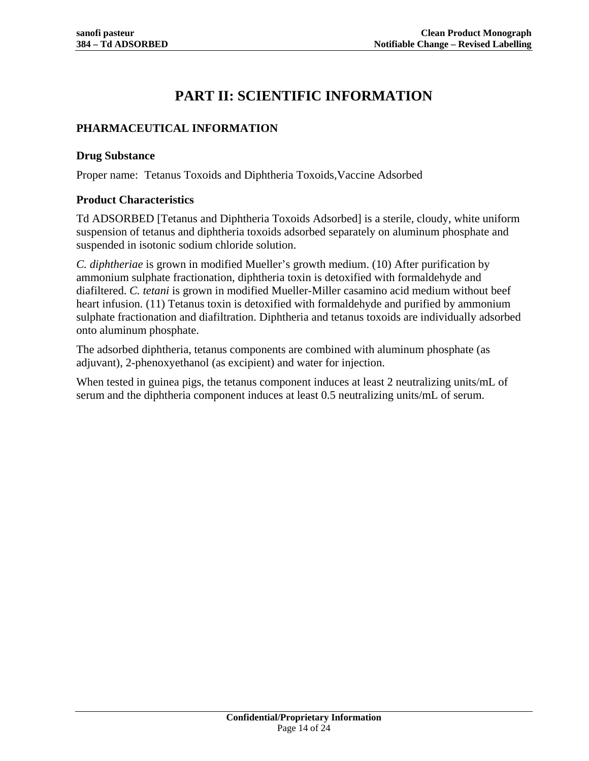# **PART II: SCIENTIFIC INFORMATION**

# **PHARMACEUTICAL INFORMATION**

#### **Drug Substance**

Proper name: Tetanus Toxoids and Diphtheria Toxoids,Vaccine Adsorbed

### **Product Characteristics**

Td ADSORBED [Tetanus and Diphtheria Toxoids Adsorbed] is a sterile, cloudy, white uniform suspension of tetanus and diphtheria toxoids adsorbed separately on aluminum phosphate and suspended in isotonic sodium chloride solution.

*C. diphtheriae* is grown in modified Mueller's growth medium. [\(10\)](#page-20-9) After purification by ammonium sulphate fractionation, diphtheria toxin is detoxified with formaldehyde and diafiltered. *C. tetani* is grown in modified Mueller-Miller casamino acid medium without beef heart infusion. [\(11\)](#page-20-10) Tetanus toxin is detoxified with formaldehyde and purified by ammonium sulphate fractionation and diafiltration. Diphtheria and tetanus toxoids are individually adsorbed onto aluminum phosphate.

The adsorbed diphtheria, tetanus components are combined with aluminum phosphate (as adjuvant), 2-phenoxyethanol (as excipient) and water for injection.

When tested in guinea pigs, the tetanus component induces at least 2 neutralizing units/mL of serum and the diphtheria component induces at least 0.5 neutralizing units/mL of serum.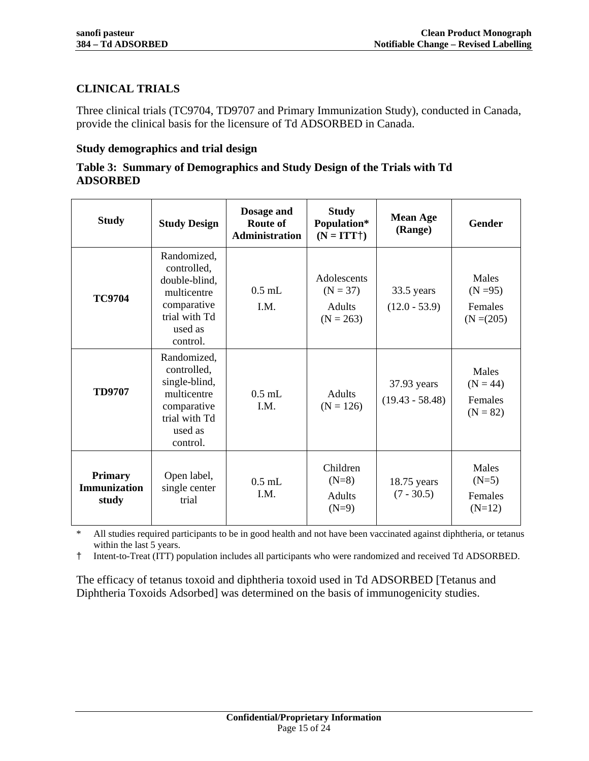# **CLINICAL TRIALS**

Three clinical trials (TC9704, TD9707 and Primary Immunization Study), conducted in Canada, provide the clinical basis for the licensure of Td ADSORBED in Canada.

### **Study demographics and trial design**

### **Table 3: Summary of Demographics and Study Design of the Trials with Td ADSORBED**

| <b>Study</b>                                   | <b>Study Design</b>                                                                                               | Dosage and<br>Route of<br>Administration | <b>Study</b><br>Population*<br>$(N = ITT\dagger)$         | <b>Mean Age</b><br>(Range)       | <b>Gender</b>                                   |
|------------------------------------------------|-------------------------------------------------------------------------------------------------------------------|------------------------------------------|-----------------------------------------------------------|----------------------------------|-------------------------------------------------|
| <b>TC9704</b>                                  | Randomized,<br>controlled,<br>double-blind,<br>multicentre<br>comparative<br>trial with Td<br>used as<br>control. | $0.5$ mL<br>I.M.                         | Adolescents<br>$(N = 37)$<br><b>Adults</b><br>$(N = 263)$ | 33.5 years<br>$(12.0 - 53.9)$    | Males<br>$(N = 95)$<br>Females<br>$(N = (205))$ |
| <b>TD9707</b>                                  | Randomized,<br>controlled,<br>single-blind,<br>multicentre<br>comparative<br>trial with Td<br>used as<br>control. | $0.5$ mL<br>I.M.                         | <b>Adults</b><br>$(N = 126)$                              | 37.93 years<br>$(19.43 - 58.48)$ | Males<br>$(N = 44)$<br>Females<br>$(N = 82)$    |
| <b>Primary</b><br><b>Immunization</b><br>study | Open label,<br>single center<br>trial                                                                             | $0.5$ mL<br>I.M.                         | Children<br>$(N=8)$<br><b>Adults</b><br>$(N=9)$           | $18.75$ years<br>$(7 - 30.5)$    | Males<br>$(N=5)$<br>Females<br>$(N=12)$         |

\* All studies required participants to be in good health and not have been vaccinated against diphtheria, or tetanus within the last 5 years.

† Intent-to-Treat (ITT) population includes all participants who were randomized and received Td ADSORBED.

The efficacy of tetanus toxoid and diphtheria toxoid used in Td ADSORBED [Tetanus and Diphtheria Toxoids Adsorbed] was determined on the basis of immunogenicity studies.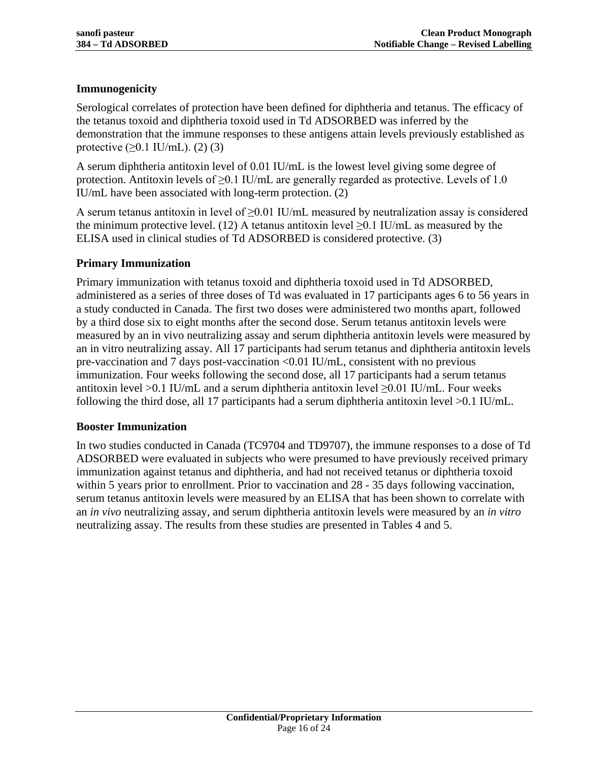# **Immunogenicity**

Serological correlates of protection have been defined for diphtheria and tetanus. The efficacy of the tetanus toxoid and diphtheria toxoid used in Td ADSORBED was inferred by the demonstration that the immune responses to these antigens attain levels previously established as protective  $(≥0.1$  IU/mL).  $(2)$   $(3)$ 

A serum diphtheria antitoxin level of 0.01 IU/mL is the lowest level giving some degree of protection. Antitoxin levels of  $\geq 0.1$  IU/mL are generally regarded as protective. Levels of 1.0 IU/mL have been associated with long-term protection. [\(2\)](#page-20-1)

A serum tetanus antitoxin in level of  $\geq$ 0.01 IU/mL measured by neutralization assay is considered the minimum protective level. [\(12\)](#page-20-11) A tetanus antitoxin level  $\geq$ 0.1 IU/mL as measured by the ELISA used in clinical studies of Td ADSORBED is considered protective. [\(3\)](#page-20-2)

# **Primary Immunization**

Primary immunization with tetanus toxoid and diphtheria toxoid used in Td ADSORBED, administered as a series of three doses of Td was evaluated in 17 participants ages 6 to 56 years in a study conducted in Canada. The first two doses were administered two months apart, followed by a third dose six to eight months after the second dose. Serum tetanus antitoxin levels were measured by an in vivo neutralizing assay and serum diphtheria antitoxin levels were measured by an in vitro neutralizing assay. All 17 participants had serum tetanus and diphtheria antitoxin levels pre-vaccination and 7 days post-vaccination <0.01 IU/mL, consistent with no previous immunization. Four weeks following the second dose, all 17 participants had a serum tetanus antitoxin level >0.1 IU/mL and a serum diphtheria antitoxin level  $\geq$ 0.01 IU/mL. Four weeks following the third dose, all 17 participants had a serum diphtheria antitoxin level  $>0.1$  IU/mL.

### **Booster Immunization**

In two studies conducted in Canada (TC9704 and TD9707), the immune responses to a dose of Td ADSORBED were evaluated in subjects who were presumed to have previously received primary immunization against tetanus and diphtheria, and had not received tetanus or diphtheria toxoid within 5 years prior to enrollment. Prior to vaccination and 28 - 35 days following vaccination, serum tetanus antitoxin levels were measured by an ELISA that has been shown to correlate with an *in vivo* neutralizing assay, and serum diphtheria antitoxin levels were measured by an *in vitro* neutralizing assay. The results from these studies are presented in Tables 4 and 5.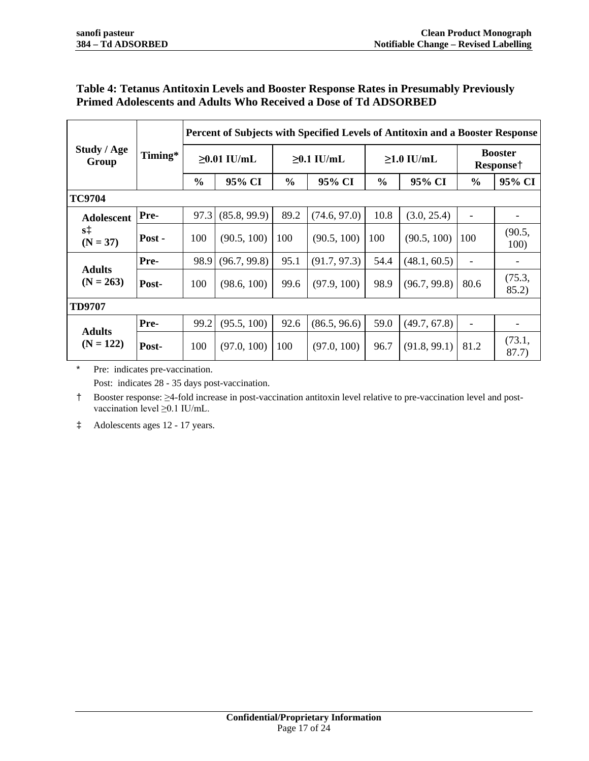# **Table 4: Tetanus Antitoxin Levels and Booster Response Rates in Presumably Previously Primed Adolescents and Adults Who Received a Dose of Td ADSORBED**

|                                 |        | Percent of Subjects with Specified Levels of Antitoxin and a Booster Response |              |                  |              |                  |              |                                         |                 |
|---------------------------------|--------|-------------------------------------------------------------------------------|--------------|------------------|--------------|------------------|--------------|-----------------------------------------|-----------------|
| Study / Age<br>Timing*<br>Group |        | $\geq 0.01$ IU/mL                                                             |              | $\geq 0.1$ IU/mL |              | $\geq 1.0$ IU/mL |              | <b>Booster</b><br>Response <sup>†</sup> |                 |
|                                 |        | $\frac{0}{0}$                                                                 | 95% CI       | $\frac{6}{6}$    | 95% CI       | $\frac{6}{6}$    | 95% CI       | $\frac{6}{6}$                           | 95% CI          |
| <b>TC9704</b>                   |        |                                                                               |              |                  |              |                  |              |                                         |                 |
| <b>Adolescent</b>               | Pre-   | 97.3                                                                          | (85.8, 99.9) | 89.2             | (74.6, 97.0) | 10.8             | (3.0, 25.4)  |                                         |                 |
| $s\ddagger$<br>$(N = 37)$       | Post - | 100                                                                           | (90.5, 100)  | 100              | (90.5, 100)  | 100              | (90.5, 100)  | 100                                     | (90.5,<br>100)  |
|                                 | Pre-   | 98.9                                                                          | (96.7, 99.8) | 95.1             | (91.7, 97.3) | 54.4             | (48.1, 60.5) |                                         |                 |
| <b>Adults</b><br>$(N = 263)$    | Post-  | 100                                                                           | (98.6, 100)  | 99.6             | (97.9, 100)  | 98.9             | (96.7, 99.8) | 80.6                                    | (75.3,<br>85.2) |
| <b>TD9707</b>                   |        |                                                                               |              |                  |              |                  |              |                                         |                 |
| <b>Adults</b>                   | Pre-   | 99.2                                                                          | (95.5, 100)  | 92.6             | (86.5, 96.6) | 59.0             | (49.7, 67.8) | $\overline{\phantom{a}}$                |                 |
| $(N = 122)$                     | Post-  | 100                                                                           | (97.0, 100)  | 100              | (97.0, 100)  | 96.7             | (91.8, 99.1) | 81.2                                    | (73.1,<br>87.7) |

\* Pre: indicates pre-vaccination. Post: indicates 28 - 35 days post-vaccination.

† Booster response: ≥4-fold increase in post-vaccination antitoxin level relative to pre-vaccination level and postvaccination level ≥0.1 IU/mL.

‡ Adolescents ages 12 - 17 years.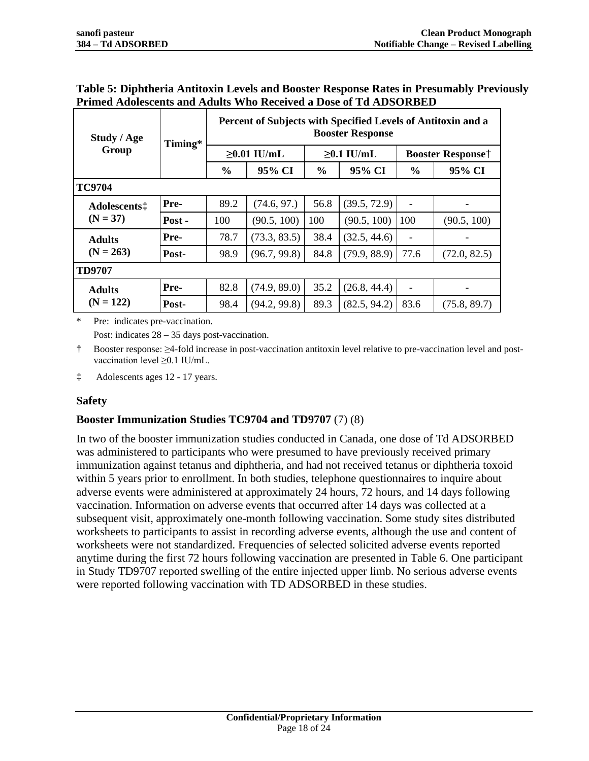| Study / Age                                  | Timing* | Percent of Subjects with Specified Levels of Antitoxin and a<br><b>Booster Response</b> |              |                  |              |                          |              |  |
|----------------------------------------------|---------|-----------------------------------------------------------------------------------------|--------------|------------------|--------------|--------------------------|--------------|--|
| Group                                        |         | $\geq 0.01$ IU/mL                                                                       |              | $\geq 0.1$ IU/mL |              | <b>Booster Responset</b> |              |  |
|                                              |         | $\frac{0}{0}$                                                                           | 95% CI       | $\%$             | 95% CI       | $\%$                     | 95% CI       |  |
| <b>TC9704</b>                                |         |                                                                                         |              |                  |              |                          |              |  |
| Adolescents <sup><math>\ddagger</math></sup> | Pre-    | 89.2                                                                                    | (74.6, 97.)  | 56.8             | (39.5, 72.9) |                          |              |  |
| $(N = 37)$                                   | Post -  | 100                                                                                     | (90.5, 100)  | 100              | (90.5, 100)  | 100                      | (90.5, 100)  |  |
| <b>Adults</b>                                | Pre-    | 78.7                                                                                    | (73.3, 83.5) | 38.4             | (32.5, 44.6) |                          |              |  |
| $(N = 263)$                                  | Post-   | 98.9                                                                                    | (96.7, 99.8) | 84.8             | (79.9, 88.9) | 77.6                     | (72.0, 82.5) |  |
| <b>TD9707</b>                                |         |                                                                                         |              |                  |              |                          |              |  |
| <b>Adults</b>                                | Pre-    | 82.8                                                                                    | (74.9, 89.0) | 35.2             | (26.8, 44.4) |                          |              |  |
| $(N = 122)$                                  | Post-   | 98.4                                                                                    | (94.2, 99.8) | 89.3             | (82.5, 94.2) | 83.6                     | (75.8, 89.7) |  |

### **Table 5: Diphtheria Antitoxin Levels and Booster Response Rates in Presumably Previously Primed Adolescents and Adults Who Received a Dose of Td ADSORBED**

\* Pre: indicates pre-vaccination.

Post: indicates 28 – 35 days post-vaccination.

† Booster response: ≥4-fold increase in post-vaccination antitoxin level relative to pre-vaccination level and postvaccination level ≥0.1 IU/mL.

‡ Adolescents ages 12 - 17 years.

# **Safety**

# **Booster Immunization Studies TC9704 and TD9707** [\(7\)](#page-20-6) [\(8\)](#page-20-7)

In two of the booster immunization studies conducted in Canada, one dose of Td ADSORBED was administered to participants who were presumed to have previously received primary immunization against tetanus and diphtheria, and had not received tetanus or diphtheria toxoid within 5 years prior to enrollment. In both studies, telephone questionnaires to inquire about adverse events were administered at approximately 24 hours, 72 hours, and 14 days following vaccination. Information on adverse events that occurred after 14 days was collected at a subsequent visit, approximately one-month following vaccination. Some study sites distributed worksheets to participants to assist in recording adverse events, although the use and content of worksheets were not standardized. Frequencies of selected solicited adverse events reported anytime during the first 72 hours following vaccination are presented in Table 6. One participant in Study TD9707 reported swelling of the entire injected upper limb. No serious adverse events were reported following vaccination with TD ADSORBED in these studies.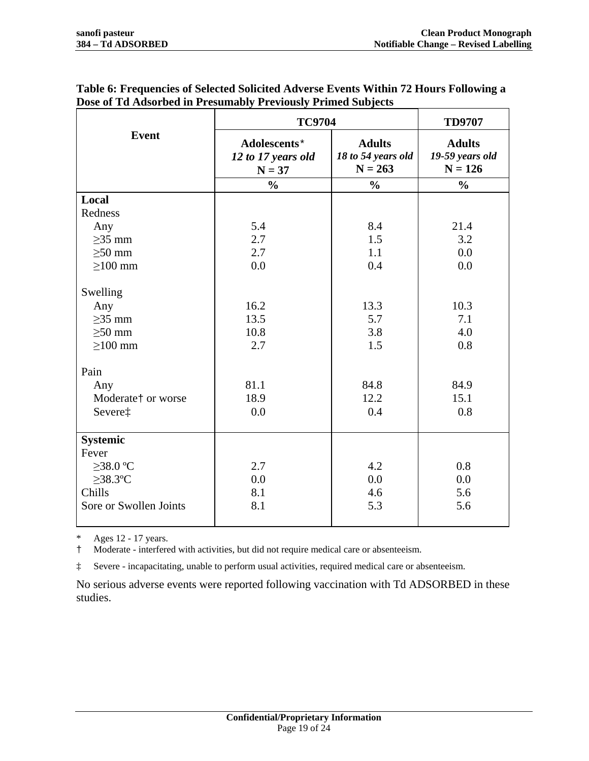|                                                                                                                              | <b>TC9704</b>                                      | <b>TD9707</b>                                    |                                                  |  |
|------------------------------------------------------------------------------------------------------------------------------|----------------------------------------------------|--------------------------------------------------|--------------------------------------------------|--|
| <b>Event</b>                                                                                                                 | Adolescents*<br>12 to 17 years old<br>$N = 37$     | <b>Adults</b><br>18 to 54 years old<br>$N = 263$ | <b>Adults</b><br>19-59 years old<br>$N = 126$    |  |
|                                                                                                                              | $\frac{0}{0}$                                      | $\frac{0}{0}$                                    | $\frac{0}{0}$                                    |  |
| Local                                                                                                                        |                                                    |                                                  |                                                  |  |
| Redness                                                                                                                      |                                                    |                                                  |                                                  |  |
| Any                                                                                                                          | 5.4                                                | 8.4                                              | 21.4                                             |  |
| $\geq$ 35 mm                                                                                                                 | 2.7                                                | 1.5                                              | 3.2                                              |  |
| $\geq 50$ mm                                                                                                                 | 2.7                                                | 1.1                                              | 0.0                                              |  |
| $\geq$ 100 mm                                                                                                                | 0.0                                                | 0.4                                              | 0.0                                              |  |
| Swelling<br>Any<br>$\geq$ 35 mm<br>$\geq 50$ mm<br>$\geq$ 100 mm<br>Pain<br>Any<br>Moderate <sup>†</sup> or worse<br>Severe‡ | 16.2<br>13.5<br>10.8<br>2.7<br>81.1<br>18.9<br>0.0 | 13.3<br>5.7<br>3.8<br>1.5<br>84.8<br>12.2<br>0.4 | 10.3<br>7.1<br>4.0<br>0.8<br>84.9<br>15.1<br>0.8 |  |
| <b>Systemic</b><br>Fever<br>$>38.0$ °C<br>$\geq$ 38.3°C<br>Chills<br>Sore or Swollen Joints                                  | 2.7<br>0.0<br>8.1<br>8.1                           | 4.2<br>0.0<br>4.6<br>5.3                         | 0.8<br>0.0<br>5.6<br>5.6                         |  |

# **Table 6: Frequencies of Selected Solicited Adverse Events Within 72 Hours Following a Dose of Td Adsorbed in Presumably Previously Primed Subjects**

\* Ages 12 - 17 years.

† Moderate - interfered with activities, but did not require medical care or absenteeism.

‡ Severe - incapacitating, unable to perform usual activities, required medical care or absenteeism.

No serious adverse events were reported following vaccination with Td ADSORBED in these studies.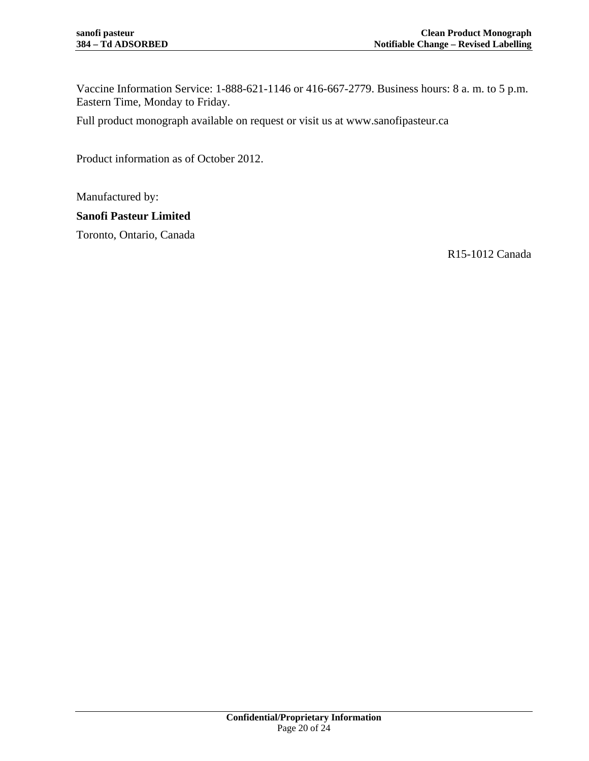Vaccine Information Service: 1-888-621-1146 or 416-667-2779. Business hours: 8 a. m. to 5 p.m. Eastern Time, Monday to Friday.

Full product monograph available on request or visit us at [www.sanofipasteur.ca](http://www.sanofipasteur.ca/)

Product information as of October 2012.

Manufactured by:

# **Sanofi Pasteur Limited**

Toronto, Ontario, Canada

R15-1012 Canada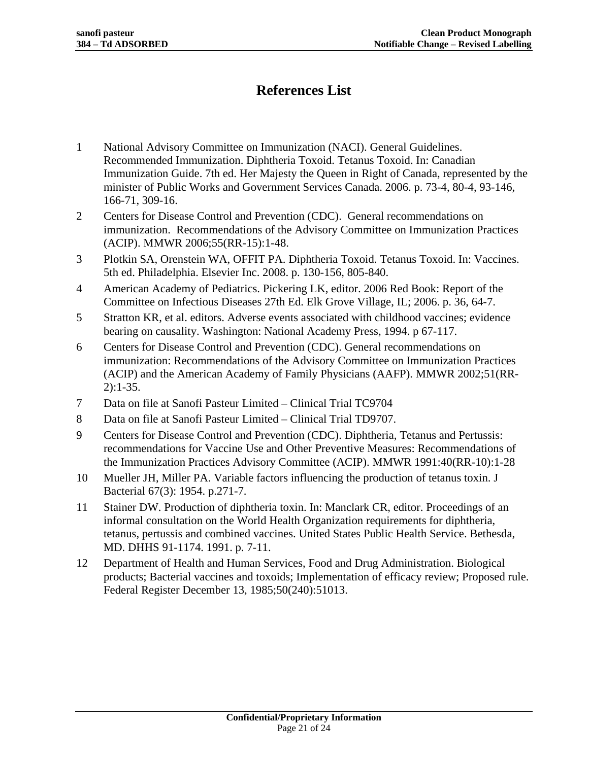# **References List**

- <span id="page-20-0"></span>1 National Advisory Committee on Immunization (NACI). General Guidelines. Recommended Immunization. Diphtheria Toxoid. Tetanus Toxoid. In: Canadian Immunization Guide. 7th ed. Her Majesty the Queen in Right of Canada, represented by the minister of Public Works and Government Services Canada. 2006. p. 73-4, 80-4, 93-146, 166-71, 309-16.
- <span id="page-20-1"></span>2 Centers for Disease Control and Prevention (CDC). General recommendations on immunization. Recommendations of the Advisory Committee on Immunization Practices (ACIP). MMWR 2006;55(RR-15):1-48.
- <span id="page-20-2"></span>3 Plotkin SA, Orenstein WA, OFFIT PA. Diphtheria Toxoid. Tetanus Toxoid. In: Vaccines. 5th ed. Philadelphia. Elsevier Inc. 2008. p. 130-156, 805-840.
- <span id="page-20-3"></span>4 American Academy of Pediatrics. Pickering LK, editor. 2006 Red Book: Report of the Committee on Infectious Diseases 27th Ed. Elk Grove Village, IL; 2006. p. 36, 64-7.
- <span id="page-20-4"></span>5 Stratton KR, et al. editors. Adverse events associated with childhood vaccines; evidence bearing on causality. Washington: National Academy Press, 1994. p 67-117.
- <span id="page-20-5"></span>6 Centers for Disease Control and Prevention (CDC). General recommendations on immunization: Recommendations of the Advisory Committee on Immunization Practices (ACIP) and the American Academy of Family Physicians (AAFP). MMWR 2002;51(RR-2):1-35.
- <span id="page-20-6"></span>7 Data on file at Sanofi Pasteur Limited – Clinical Trial TC9704
- <span id="page-20-7"></span>8 Data on file at Sanofi Pasteur Limited – Clinical Trial TD9707.
- <span id="page-20-8"></span>9 Centers for Disease Control and Prevention (CDC). Diphtheria, Tetanus and Pertussis: recommendations for Vaccine Use and Other Preventive Measures: Recommendations of the Immunization Practices Advisory Committee (ACIP). MMWR 1991:40(RR-10):1-28
- <span id="page-20-9"></span>10 Mueller JH, Miller PA. Variable factors influencing the production of tetanus toxin. J Bacterial 67(3): 1954. p.271-7.
- <span id="page-20-10"></span>11 Stainer DW. Production of diphtheria toxin. In: Manclark CR, editor. Proceedings of an informal consultation on the World Health Organization requirements for diphtheria, tetanus, pertussis and combined vaccines. United States Public Health Service. Bethesda, MD. DHHS 91-1174. 1991. p. 7-11.
- <span id="page-20-11"></span>12 Department of Health and Human Services, Food and Drug Administration. Biological products; Bacterial vaccines and toxoids; Implementation of efficacy review; Proposed rule. Federal Register December 13, 1985;50(240):51013.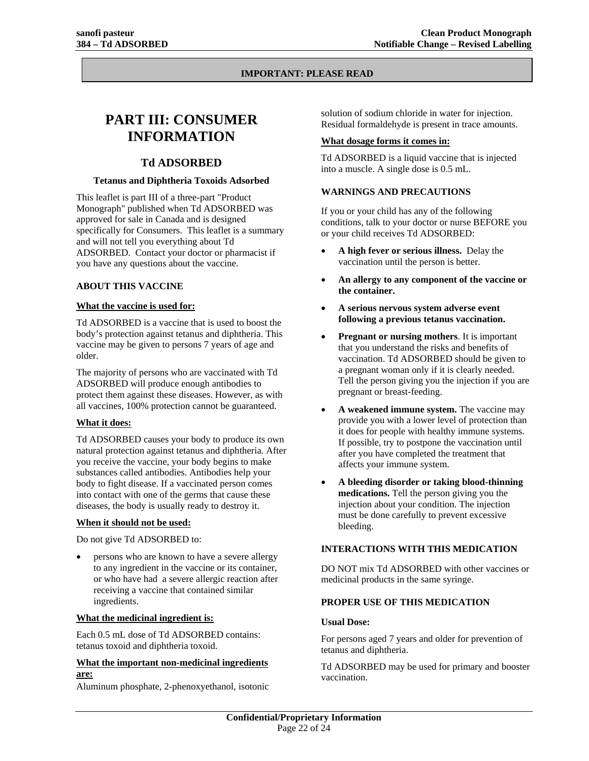#### **IMPORTANT: PLEASE READ**

# **PART III: CONSUMER INFORMATION**

#### **Td ADSORBED**

#### **Tetanus and Diphtheria Toxoids Adsorbed**

This leaflet is part III of a three-part "Product Monograph" published when Td ADSORBED was approved for sale in Canada and is designed specifically for Consumers. This leaflet is a summary and will not tell you everything about Td ADSORBED. Contact your doctor or pharmacist if you have any questions about the vaccine.

#### **ABOUT THIS VACCINE**

#### **What the vaccine is used for:**

Td ADSORBED is a vaccine that is used to boost the body's protection against tetanus and diphtheria. This vaccine may be given to persons 7 years of age and older.

The majority of persons who are vaccinated with Td ADSORBED will produce enough antibodies to protect them against these diseases. However, as with all vaccines, 100% protection cannot be guaranteed.

#### **What it does:**

Td ADSORBED causes your body to produce its own natural protection against tetanus and diphtheria. After you receive the vaccine, your body begins to make substances called antibodies. Antibodies help your body to fight disease. If a vaccinated person comes into contact with one of the germs that cause these diseases, the body is usually ready to destroy it.

#### **When it should not be used:**

Do not give Td ADSORBED to:

• persons who are known to have a severe allergy to any ingredient in the vaccine or its container, or who have had a severe allergic reaction after receiving a vaccine that contained similar ingredients.

#### **What the medicinal ingredient is:**

Each 0.5 mL dose of Td ADSORBED contains: tetanus toxoid and diphtheria toxoid.

#### **What the important non-medicinal ingredients are:**

Aluminum phosphate, 2-phenoxyethanol, isotonic

solution of sodium chloride in water for injection. Residual formaldehyde is present in trace amounts.

#### **What dosage forms it comes in:**

Td ADSORBED is a liquid vaccine that is injected into a muscle. A single dose is 0.5 mL.

#### **WARNINGS AND PRECAUTIONS**

If you or your child has any of the following conditions, talk to your doctor or nurse BEFORE you or your child receives Td ADSORBED:

- **A high fever or serious illness.** Delay the vaccination until the person is better.
- **An allergy to any component of the vaccine or the container.**
- **A serious nervous system adverse event following a previous tetanus vaccination.**
- **Pregnant or nursing mothers**. It is important that you understand the risks and benefits of vaccination. Td ADSORBED should be given to a pregnant woman only if it is clearly needed. Tell the person giving you the injection if you are pregnant or breast-feeding.
- **A weakened immune system.** The vaccine may provide you with a lower level of protection than it does for people with healthy immune systems. If possible, try to postpone the vaccination until after you have completed the treatment that affects your immune system.
- **A bleeding disorder or taking blood-thinning medications.** Tell the person giving you the injection about your condition. The injection must be done carefully to prevent excessive bleeding.

#### **INTERACTIONS WITH THIS MEDICATION**

DO NOT mix Td ADSORBED with other vaccines or medicinal products in the same syringe.

#### **PROPER USE OF THIS MEDICATION**

#### **Usual Dose:**

For persons aged 7 years and older for prevention of tetanus and diphtheria.

Td ADSORBED may be used for primary and booster vaccination.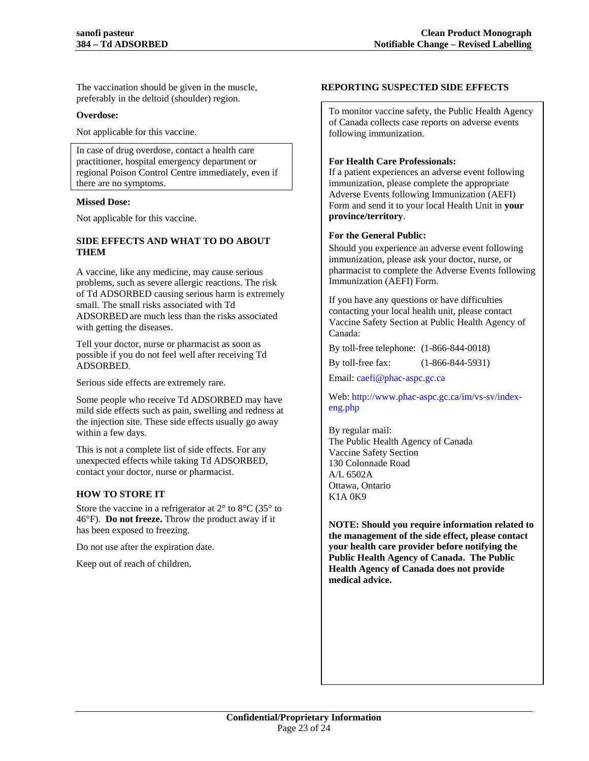The vaccination should be given in the muscle, preferably in the deltoid (shoulder) region.

#### **Overdose:**

Not applicable for this vaccine.

In case of drug overdose, contact a health care practitioner, hospital emergency department or regional Poison Control Centre immediately, even if there are no symptoms.

#### **Missed Dose:**

Not applicable for this vaccine.

#### **SIDE EFFECTS AND WHAT TO DO ABOUT THEM**

A vaccine, like any medicine, may cause serious problems, such as severe allergic reactions. The risk of Td ADSORBED causing serious harm is extremely small. The small risks associated with Td ADSORBED are much less than the risks associated with getting the diseases.

Tell your doctor, nurse or pharmacist as soon as possible if you do not feel well after receiving Td ADSORBED.

Serious side effects are extremely rare.

Some people who receive Td ADSORBED may have mild side effects such as pain, swelling and redness at the injection site. These side effects usually go away within a few days.

This is not a complete list of side effects. For any unexpected effects while taking Td ADSORBED, contact your doctor, nurse or pharmacist.

#### **HOW TO STORE IT**

Store the vaccine in a refrigerator at  $2^{\circ}$  to  $8^{\circ}$ C (35 $^{\circ}$  to 46°F). **Do not freeze.** Throw the product away if it has been exposed to freezing.

Do not use after the expiration date.

Keep out of reach of children.

#### **REPORTING SUSPECTED SIDE EFFECTS**

To monitor vaccine safety, the Public Health Agency of Canada collects case reports on adverse events following immunization.

#### **For Health Care Professionals:**

If a patient experiences an adverse event following immunization, please complete the appropriate Adverse Events following Immunization (AEFI) Form and send it to your local Health Unit in **[your](http://www.phac-aspc.gc.ca/im/ci-rp-eng.php)  [province/territory](http://www.phac-aspc.gc.ca/im/ci-rp-eng.php)**.

#### **For the General Public:**

Should you experience an adverse event following immunization, please ask your doctor, nurse, or pharmacist to complete the Adverse Events following Immunization (AEFI) Form.

If you have any questions or have difficulties contacting your local health unit, please contact Vaccine Safety Section at Public Health Agency of Canada:

By toll-free telephone: (1-866-844-0018)

By toll-free fax: (1-866-844-5931)

Email: caefi@phac-aspc.gc.ca

Web: [http://www.phac-aspc.gc.ca/im/vs-sv/index](http://www.phac-aspc.gc.ca/im/vs-sv/index-eng.php__)[eng.php](http://www.phac-aspc.gc.ca/im/vs-sv/index-eng.php__)

By regular mail: The Public Health Agency of Canada Vaccine Safety Section 130 Colonnade Road A/L 6502A Ottawa, Ontario K1A 0K9

**NOTE: Should you require information related to the management of the side effect, please contact your health care provider before notifying the Public Health Agency of Canada. The Public Health Agency of Canada does not provide medical advice.**